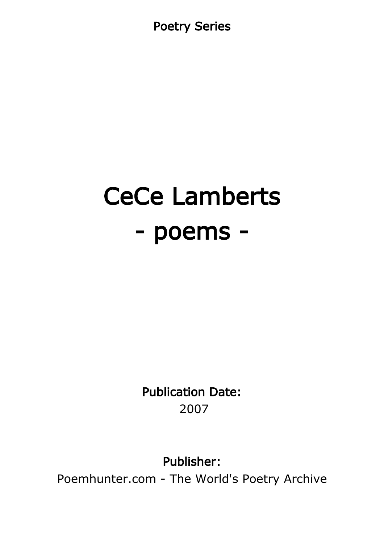Poetry Series

# CeCe Lamberts - poems -

Publication Date: 2007

Publisher:

Poemhunter.com - The World's Poetry Archive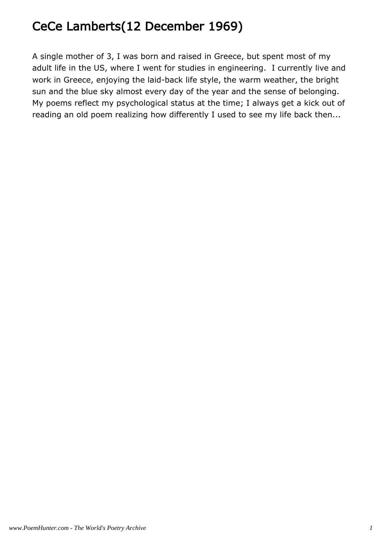# CeCe Lamberts(12 December 1969)

A single mother of 3, I was born and raised in Greece, but spent most of my adult life in the US, where I went for studies in engineering. I currently live and work in Greece, enjoying the laid-back life style, the warm weather, the bright sun and the blue sky almost every day of the year and the sense of belonging. My poems reflect my psychological status at the time; I always get a kick out of reading an old poem realizing how differently I used to see my life back then...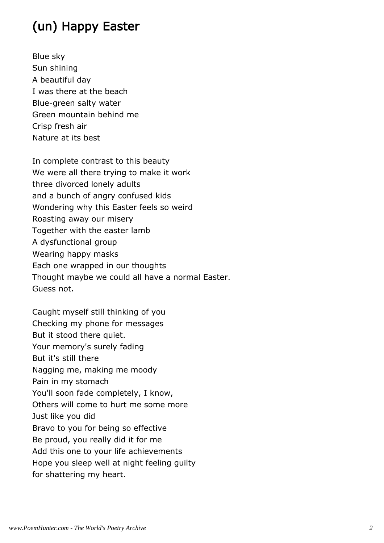# (un) Happy Easter

Blue sky Sun shining A beautiful day I was there at the beach Blue-green salty water Green mountain behind me Crisp fresh air Nature at its best

In complete contrast to this beauty We were all there trying to make it work three divorced lonely adults and a bunch of angry confused kids Wondering why this Easter feels so weird Roasting away our misery Together with the easter lamb A dysfunctional group Wearing happy masks Each one wrapped in our thoughts Thought maybe we could all have a normal Easter. Guess not.

Caught myself still thinking of you Checking my phone for messages But it stood there quiet. Your memory's surely fading But it's still there Nagging me, making me moody Pain in my stomach You'll soon fade completely, I know, Others will come to hurt me some more Just like you did Bravo to you for being so effective Be proud, you really did it for me Add this one to your life achievements Hope you sleep well at night feeling guilty for shattering my heart.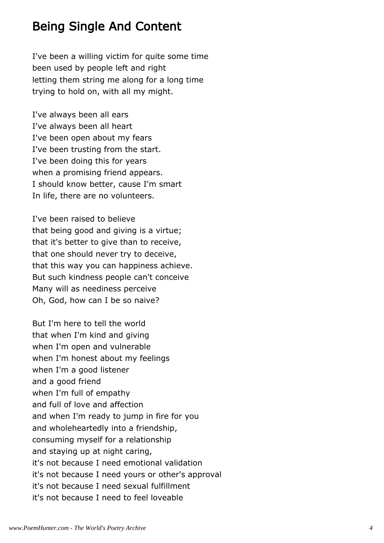#### Being Single And Content

I've been a willing victim for quite some time been used by people left and right letting them string me along for a long time trying to hold on, with all my might.

I've always been all ears I've always been all heart I've been open about my fears I've been trusting from the start. I've been doing this for years when a promising friend appears. I should know better, cause I'm smart In life, there are no volunteers.

I've been raised to believe that being good and giving is a virtue; that it's better to give than to receive, that one should never try to deceive, that this way you can happiness achieve. But such kindness people can't conceive Many will as neediness perceive Oh, God, how can I be so naive?

But I'm here to tell the world that when I'm kind and giving when I'm open and vulnerable when I'm honest about my feelings when I'm a good listener and a good friend when I'm full of empathy and full of love and affection and when I'm ready to jump in fire for you and wholeheartedly into a friendship, consuming myself for a relationship and staying up at night caring, it's not because I need emotional validation it's not because I need yours or other's approval it's not because I need sexual fulfillment it's not because I need to feel loveable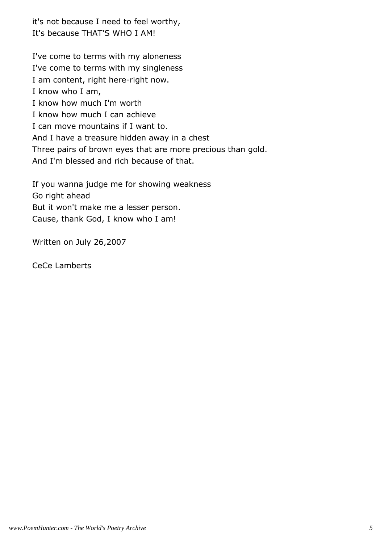it's not because I need to feel worthy, It's because THAT'S WHO I AM!

I've come to terms with my aloneness I've come to terms with my singleness I am content, right here-right now. I know who I am, I know how much I'm worth I know how much I can achieve I can move mountains if I want to. And I have a treasure hidden away in a chest Three pairs of brown eyes that are more precious than gold. And I'm blessed and rich because of that.

If you wanna judge me for showing weakness Go right ahead But it won't make me a lesser person. Cause, thank God, I know who I am!

Written on July 26,2007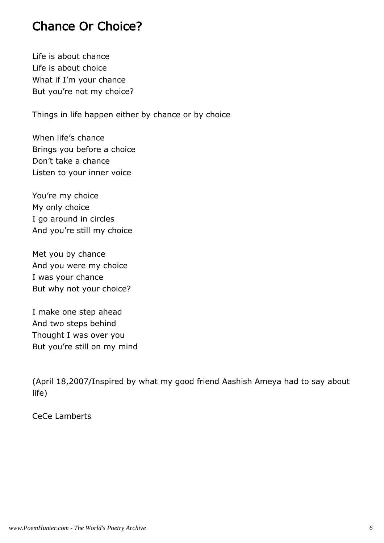#### Chance Or Choice?

Life is about chance Life is about choice What if I'm your chance But you're not my choice?

Things in life happen either by chance or by choice

When life's chance Brings you before a choice Don't take a chance Listen to your inner voice

You're my choice My only choice I go around in circles And you're still my choice

Met you by chance And you were my choice I was your chance But why not your choice?

I make one step ahead And two steps behind Thought I was over you But you're still on my mind

(April 18,2007/Inspired by what my good friend Aashish Ameya had to say about life)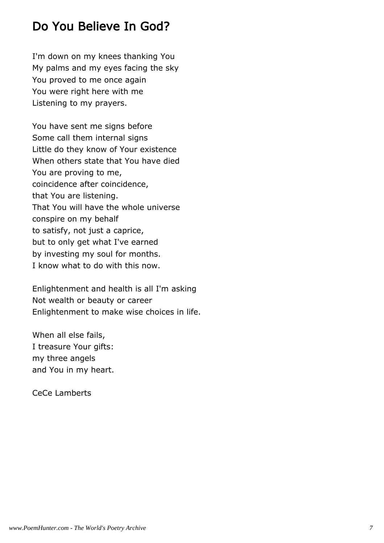### Do You Believe In God?

I'm down on my knees thanking You My palms and my eyes facing the sky You proved to me once again You were right here with me Listening to my prayers.

You have sent me signs before Some call them internal signs Little do they know of Your existence When others state that You have died You are proving to me, coincidence after coincidence, that You are listening. That You will have the whole universe conspire on my behalf to satisfy, not just a caprice, but to only get what I've earned by investing my soul for months. I know what to do with this now.

Enlightenment and health is all I'm asking Not wealth or beauty or career Enlightenment to make wise choices in life.

When all else fails, I treasure Your gifts: my three angels and You in my heart.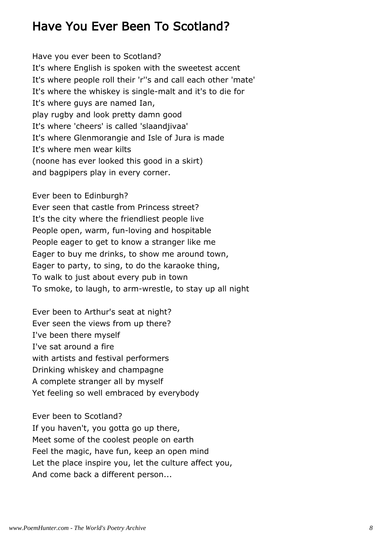#### Have You Ever Been To Scotland?

Have you ever been to Scotland? It's where English is spoken with the sweetest accent It's where people roll their 'r''s and call each other 'mate' It's where the whiskey is single-malt and it's to die for It's where guys are named Ian, play rugby and look pretty damn good It's where 'cheers' is called 'slaandjivaa' It's where Glenmorangie and Isle of Jura is made It's where men wear kilts (noone has ever looked this good in a skirt) and bagpipers play in every corner.

Ever been to Edinburgh?

Ever seen that castle from Princess street? It's the city where the friendliest people live People open, warm, fun-loving and hospitable People eager to get to know a stranger like me Eager to buy me drinks, to show me around town, Eager to party, to sing, to do the karaoke thing, To walk to just about every pub in town To smoke, to laugh, to arm-wrestle, to stay up all night

Ever been to Arthur's seat at night? Ever seen the views from up there? I've been there myself I've sat around a fire with artists and festival performers Drinking whiskey and champagne A complete stranger all by myself Yet feeling so well embraced by everybody

Ever been to Scotland? If you haven't, you gotta go up there, Meet some of the coolest people on earth Feel the magic, have fun, keep an open mind Let the place inspire you, let the culture affect you, And come back a different person...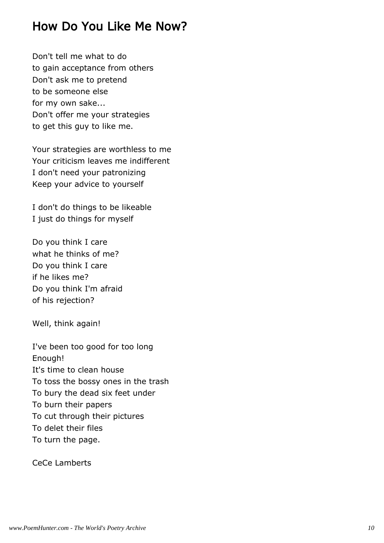#### How Do You Like Me Now?

Don't tell me what to do to gain acceptance from others Don't ask me to pretend to be someone else for my own sake... Don't offer me your strategies to get this guy to like me.

Your strategies are worthless to me Your criticism leaves me indifferent I don't need your patronizing Keep your advice to yourself

I don't do things to be likeable I just do things for myself

Do you think I care what he thinks of me? Do you think I care if he likes me? Do you think I'm afraid of his rejection?

Well, think again!

I've been too good for too long Enough! It's time to clean house To toss the bossy ones in the trash To bury the dead six feet under To burn their papers To cut through their pictures To delet their files To turn the page.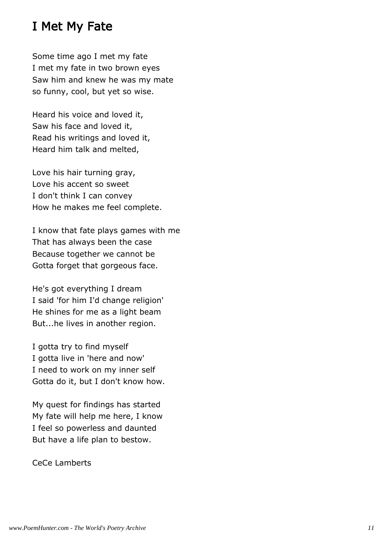#### I Met My Fate

Some time ago I met my fate I met my fate in two brown eyes Saw him and knew he was my mate so funny, cool, but yet so wise.

Heard his voice and loved it, Saw his face and loved it, Read his writings and loved it, Heard him talk and melted,

Love his hair turning gray, Love his accent so sweet I don't think I can convey How he makes me feel complete.

I know that fate plays games with me That has always been the case Because together we cannot be Gotta forget that gorgeous face.

He's got everything I dream I said 'for him I'd change religion' He shines for me as a light beam But...he lives in another region.

I gotta try to find myself I gotta live in 'here and now' I need to work on my inner self Gotta do it, but I don't know how.

My quest for findings has started My fate will help me here, I know I feel so powerless and daunted But have a life plan to bestow.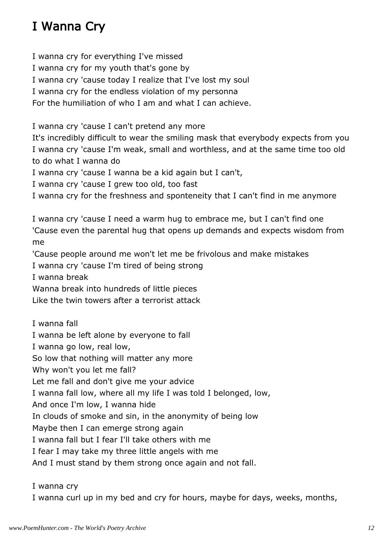# I Wanna Cry

I wanna cry for everything I've missed I wanna cry for my youth that's gone by I wanna cry 'cause today I realize that I've lost my soul I wanna cry for the endless violation of my personna For the humiliation of who I am and what I can achieve.

I wanna cry 'cause I can't pretend any more

It's incredibly difficult to wear the smiling mask that everybody expects from you I wanna cry 'cause I'm weak, small and worthless, and at the same time too old to do what I wanna do

I wanna cry 'cause I wanna be a kid again but I can't,

I wanna cry 'cause I grew too old, too fast

I wanna cry for the freshness and sponteneity that I can't find in me anymore

I wanna cry 'cause I need a warm hug to embrace me, but I can't find one 'Cause even the parental hug that opens up demands and expects wisdom from me

'Cause people around me won't let me be frivolous and make mistakes

I wanna cry 'cause I'm tired of being strong

I wanna break

Wanna break into hundreds of little pieces

Like the twin towers after a terrorist attack

I wanna fall I wanna be left alone by everyone to fall I wanna go low, real low, So low that nothing will matter any more Why won't you let me fall? Let me fall and don't give me your advice I wanna fall low, where all my life I was told I belonged, low, And once I'm low, I wanna hide In clouds of smoke and sin, in the anonymity of being low Maybe then I can emerge strong again I wanna fall but I fear I'll take others with me I fear I may take my three little angels with me And I must stand by them strong once again and not fall.

I wanna cry

I wanna curl up in my bed and cry for hours, maybe for days, weeks, months,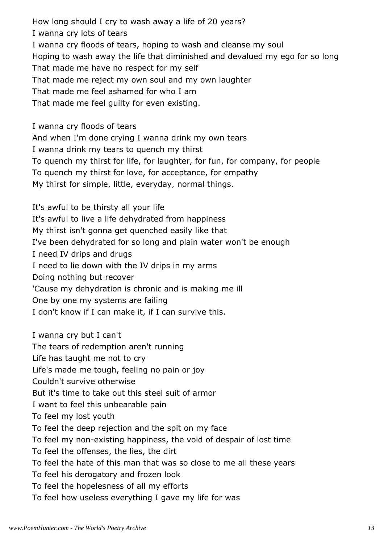How long should I cry to wash away a life of 20 years? I wanna cry lots of tears I wanna cry floods of tears, hoping to wash and cleanse my soul Hoping to wash away the life that diminished and devalued my ego for so long That made me have no respect for my self That made me reject my own soul and my own laughter That made me feel ashamed for who I am That made me feel guilty for even existing.

I wanna cry floods of tears And when I'm done crying I wanna drink my own tears

I wanna drink my tears to quench my thirst

To quench my thirst for life, for laughter, for fun, for company, for people

To quench my thirst for love, for acceptance, for empathy

My thirst for simple, little, everyday, normal things.

It's awful to be thirsty all your life It's awful to live a life dehydrated from happiness My thirst isn't gonna get quenched easily like that I've been dehydrated for so long and plain water won't be enough I need IV drips and drugs I need to lie down with the IV drips in my arms Doing nothing but recover 'Cause my dehydration is chronic and is making me ill One by one my systems are failing I don't know if I can make it, if I can survive this.

I wanna cry but I can't The tears of redemption aren't running Life has taught me not to cry Life's made me tough, feeling no pain or joy Couldn't survive otherwise But it's time to take out this steel suit of armor I want to feel this unbearable pain To feel my lost youth To feel the deep rejection and the spit on my face To feel my non-existing happiness, the void of despair of lost time To feel the offenses, the lies, the dirt To feel the hate of this man that was so close to me all these years To feel his derogatory and frozen look To feel the hopelesness of all my efforts To feel how useless everything I gave my life for was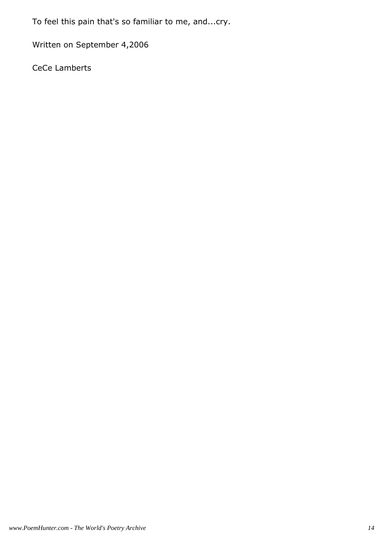To feel this pain that's so familiar to me, and...cry.

Written on September 4,2006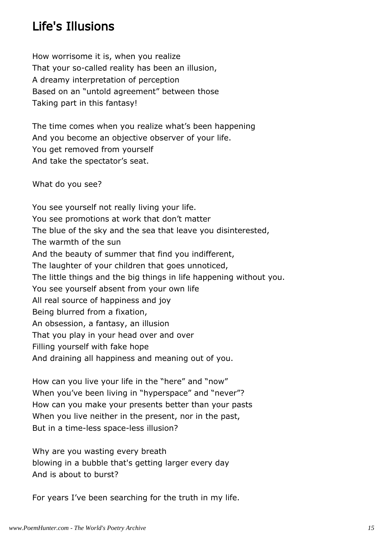## Life's Illusions

How worrisome it is, when you realize That your so-called reality has been an illusion, A dreamy interpretation of perception Based on an "untold agreement" between those Taking part in this fantasy!

The time comes when you realize what's been happening And you become an objective observer of your life. You get removed from yourself And take the spectator's seat.

What do you see?

You see yourself not really living your life. You see promotions at work that don't matter The blue of the sky and the sea that leave you disinterested, The warmth of the sun And the beauty of summer that find you indifferent, The laughter of your children that goes unnoticed, The little things and the big things in life happening without you. You see yourself absent from your own life All real source of happiness and joy Being blurred from a fixation, An obsession, a fantasy, an illusion That you play in your head over and over Filling yourself with fake hope And draining all happiness and meaning out of you.

How can you live your life in the "here" and "now" When you've been living in "hyperspace" and "never"? How can you make your presents better than your pasts When you live neither in the present, nor in the past, But in a time-less space-less illusion?

Why are you wasting every breath blowing in a bubble that's getting larger every day And is about to burst?

For years I've been searching for the truth in my life.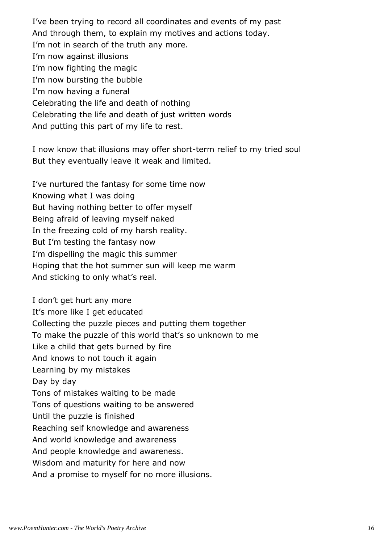I've been trying to record all coordinates and events of my past And through them, to explain my motives and actions today. I'm not in search of the truth any more. I'm now against illusions I'm now fighting the magic I'm now bursting the bubble I'm now having a funeral Celebrating the life and death of nothing Celebrating the life and death of just written words And putting this part of my life to rest.

I now know that illusions may offer short-term relief to my tried soul But they eventually leave it weak and limited.

I've nurtured the fantasy for some time now Knowing what I was doing But having nothing better to offer myself Being afraid of leaving myself naked In the freezing cold of my harsh reality. But I'm testing the fantasy now I'm dispelling the magic this summer Hoping that the hot summer sun will keep me warm And sticking to only what's real.

I don't get hurt any more It's more like I get educated Collecting the puzzle pieces and putting them together To make the puzzle of this world that's so unknown to me Like a child that gets burned by fire And knows to not touch it again Learning by my mistakes Day by day Tons of mistakes waiting to be made Tons of questions waiting to be answered Until the puzzle is finished Reaching self knowledge and awareness And world knowledge and awareness And people knowledge and awareness. Wisdom and maturity for here and now And a promise to myself for no more illusions.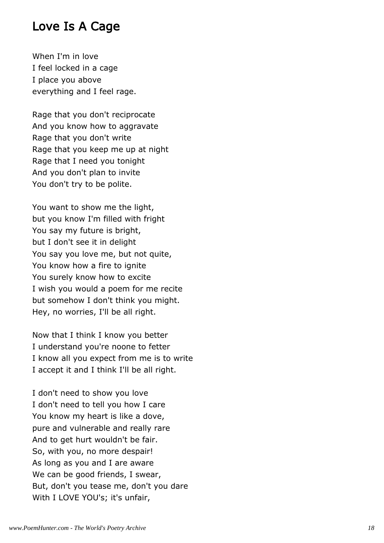#### Love Is A Cage

When I'm in love I feel locked in a cage I place you above everything and I feel rage.

Rage that you don't reciprocate And you know how to aggravate Rage that you don't write Rage that you keep me up at night Rage that I need you tonight And you don't plan to invite You don't try to be polite.

You want to show me the light, but you know I'm filled with fright You say my future is bright, but I don't see it in delight You say you love me, but not quite, You know how a fire to ignite You surely know how to excite I wish you would a poem for me recite but somehow I don't think you might. Hey, no worries, I'll be all right.

Now that I think I know you better I understand you're noone to fetter I know all you expect from me is to write I accept it and I think I'll be all right.

I don't need to show you love I don't need to tell you how I care You know my heart is like a dove, pure and vulnerable and really rare And to get hurt wouldn't be fair. So, with you, no more despair! As long as you and I are aware We can be good friends, I swear, But, don't you tease me, don't you dare With I LOVE YOU's; it's unfair,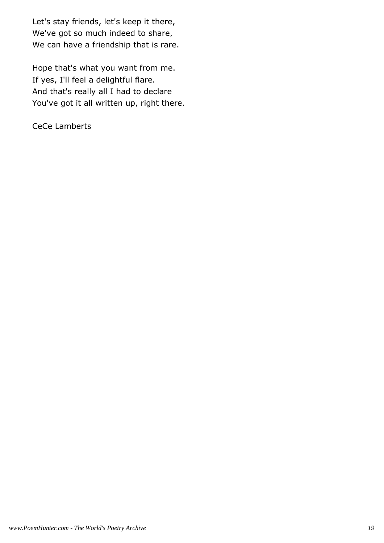Let's stay friends, let's keep it there, We've got so much indeed to share, We can have a friendship that is rare.

Hope that's what you want from me. If yes, I'll feel a delightful flare. And that's really all I had to declare You've got it all written up, right there.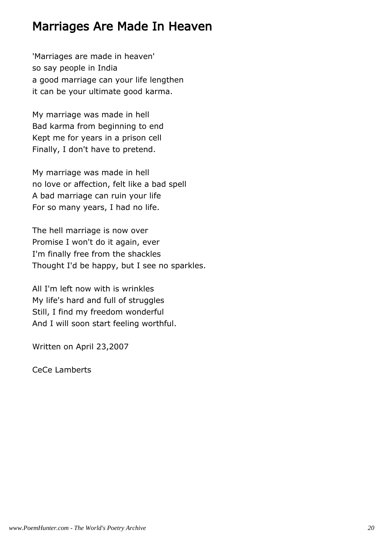#### Marriages Are Made In Heaven

'Marriages are made in heaven' so say people in India a good marriage can your life lengthen it can be your ultimate good karma.

My marriage was made in hell Bad karma from beginning to end Kept me for years in a prison cell Finally, I don't have to pretend.

My marriage was made in hell no love or affection, felt like a bad spell A bad marriage can ruin your life For so many years, I had no life.

The hell marriage is now over Promise I won't do it again, ever I'm finally free from the shackles Thought I'd be happy, but I see no sparkles.

All I'm left now with is wrinkles My life's hard and full of struggles Still, I find my freedom wonderful And I will soon start feeling worthful.

Written on April 23,2007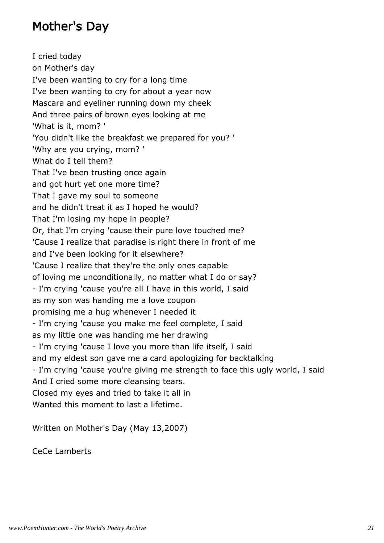## Mother's Day

I cried today on Mother's day I've been wanting to cry for a long time I've been wanting to cry for about a year now Mascara and eyeliner running down my cheek And three pairs of brown eyes looking at me 'What is it, mom? ' 'You didn't like the breakfast we prepared for you? ' 'Why are you crying, mom? ' What do I tell them? That I've been trusting once again and got hurt yet one more time? That I gave my soul to someone and he didn't treat it as I hoped he would? That I'm losing my hope in people? Or, that I'm crying 'cause their pure love touched me? 'Cause I realize that paradise is right there in front of me and I've been looking for it elsewhere? 'Cause I realize that they're the only ones capable of loving me unconditionally, no matter what I do or say? - I'm crying 'cause you're all I have in this world, I said as my son was handing me a love coupon promising me a hug whenever I needed it - I'm crying 'cause you make me feel complete, I said as my little one was handing me her drawing - I'm crying 'cause I love you more than life itself, I said and my eldest son gave me a card apologizing for backtalking - I'm crying 'cause you're giving me strength to face this ugly world, I said And I cried some more cleansing tears. Closed my eyes and tried to take it all in Wanted this moment to last a lifetime.

Written on Mother's Day (May 13,2007)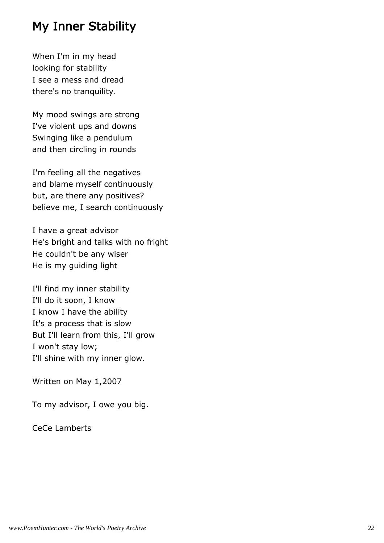#### My Inner Stability

When I'm in my head looking for stability I see a mess and dread there's no tranquility.

My mood swings are strong I've violent ups and downs Swinging like a pendulum and then circling in rounds

I'm feeling all the negatives and blame myself continuously but, are there any positives? believe me, I search continuously

I have a great advisor He's bright and talks with no fright He couldn't be any wiser He is my guiding light

I'll find my inner stability I'll do it soon, I know I know I have the ability It's a process that is slow But I'll learn from this, I'll grow I won't stay low; I'll shine with my inner glow.

Written on May 1,2007

To my advisor, I owe you big.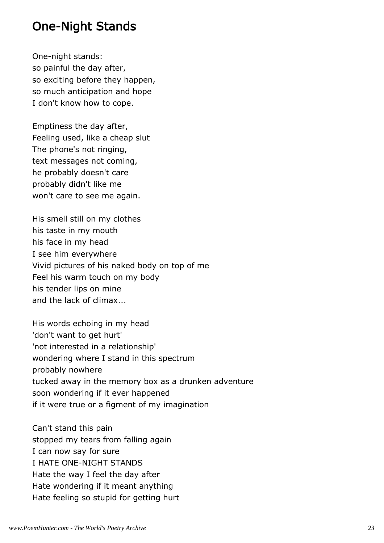#### One-Night Stands

One-night stands: so painful the day after, so exciting before they happen, so much anticipation and hope I don't know how to cope.

Emptiness the day after, Feeling used, like a cheap slut The phone's not ringing, text messages not coming, he probably doesn't care probably didn't like me won't care to see me again.

His smell still on my clothes his taste in my mouth his face in my head I see him everywhere Vivid pictures of his naked body on top of me Feel his warm touch on my body his tender lips on mine and the lack of climax...

His words echoing in my head 'don't want to get hurt' 'not interested in a relationship' wondering where I stand in this spectrum probably nowhere tucked away in the memory box as a drunken adventure soon wondering if it ever happened if it were true or a figment of my imagination

Can't stand this pain stopped my tears from falling again I can now say for sure I HATE ONE-NIGHT STANDS Hate the way I feel the day after Hate wondering if it meant anything Hate feeling so stupid for getting hurt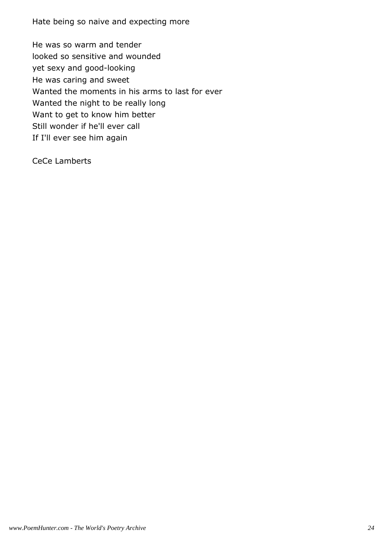Hate being so naive and expecting more

He was so warm and tender looked so sensitive and wounded yet sexy and good-looking He was caring and sweet Wanted the moments in his arms to last for ever Wanted the night to be really long Want to get to know him better Still wonder if he'll ever call If I'll ever see him again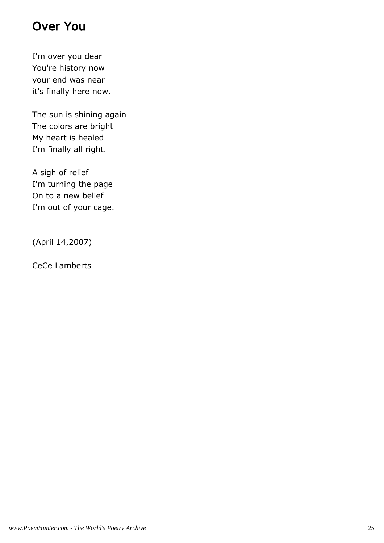# Over You

I'm over you dear You're history now your end was near it's finally here now.

The sun is shining again The colors are bright My heart is healed I'm finally all right.

A sigh of relief I'm turning the page On to a new belief I'm out of your cage.

(April 14,2007)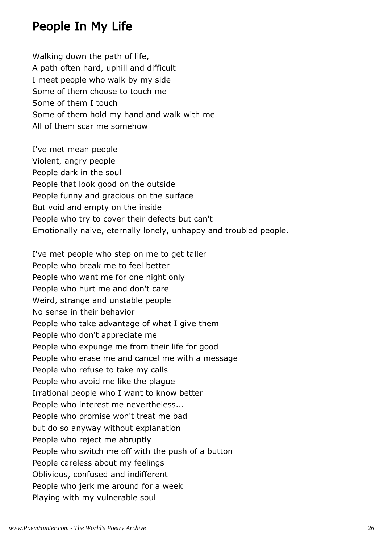#### People In My Life

Walking down the path of life, A path often hard, uphill and difficult I meet people who walk by my side Some of them choose to touch me Some of them I touch Some of them hold my hand and walk with me All of them scar me somehow

I've met mean people Violent, angry people People dark in the soul People that look good on the outside People funny and gracious on the surface But void and empty on the inside People who try to cover their defects but can't Emotionally naive, eternally lonely, unhappy and troubled people.

I've met people who step on me to get taller People who break me to feel better People who want me for one night only People who hurt me and don't care Weird, strange and unstable people No sense in their behavior People who take advantage of what I give them People who don't appreciate me People who expunge me from their life for good People who erase me and cancel me with a message People who refuse to take my calls People who avoid me like the plague Irrational people who I want to know better People who interest me nevertheless... People who promise won't treat me bad but do so anyway without explanation People who reject me abruptly People who switch me off with the push of a button People careless about my feelings Oblivious, confused and indifferent People who jerk me around for a week Playing with my vulnerable soul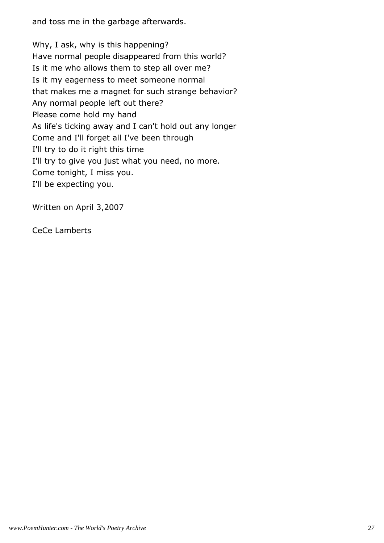and toss me in the garbage afterwards.

Why, I ask, why is this happening? Have normal people disappeared from this world? Is it me who allows them to step all over me? Is it my eagerness to meet someone normal that makes me a magnet for such strange behavior? Any normal people left out there? Please come hold my hand As life's ticking away and I can't hold out any longer Come and I'll forget all I've been through I'll try to do it right this time I'll try to give you just what you need, no more. Come tonight, I miss you. I'll be expecting you.

Written on April 3,2007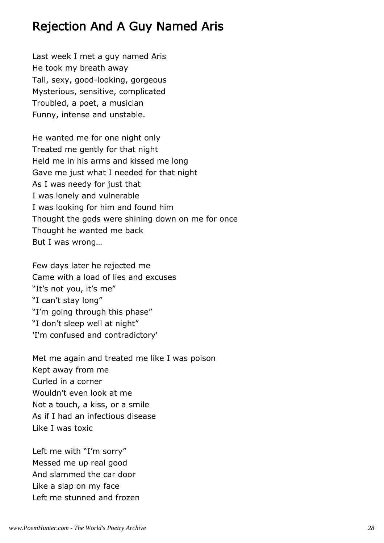### Rejection And A Guy Named Aris

Last week I met a guy named Aris He took my breath away Tall, sexy, good-looking, gorgeous Mysterious, sensitive, complicated Troubled, a poet, a musician Funny, intense and unstable.

He wanted me for one night only Treated me gently for that night Held me in his arms and kissed me long Gave me just what I needed for that night As I was needy for just that I was lonely and vulnerable I was looking for him and found him Thought the gods were shining down on me for once Thought he wanted me back But I was wrong…

Few days later he rejected me Came with a load of lies and excuses "It's not you, it's me" "I can't stay long" "I'm going through this phase" "I don't sleep well at night" 'I'm confused and contradictory'

Met me again and treated me like I was poison Kept away from me Curled in a corner Wouldn't even look at me Not a touch, a kiss, or a smile As if I had an infectious disease Like I was toxic

Left me with "I'm sorry" Messed me up real good And slammed the car door Like a slap on my face Left me stunned and frozen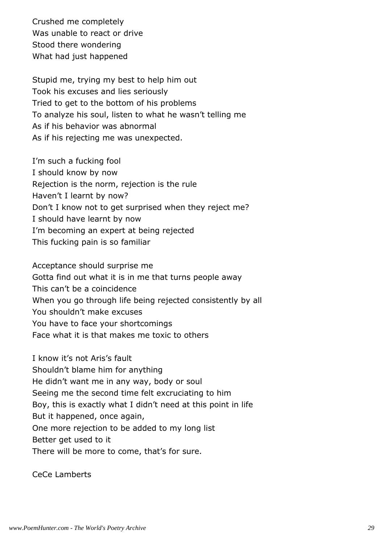Crushed me completely Was unable to react or drive Stood there wondering What had just happened

Stupid me, trying my best to help him out Took his excuses and lies seriously Tried to get to the bottom of his problems To analyze his soul, listen to what he wasn't telling me As if his behavior was abnormal As if his rejecting me was unexpected.

I'm such a fucking fool I should know by now Rejection is the norm, rejection is the rule Haven't I learnt by now? Don't I know not to get surprised when they reject me? I should have learnt by now I'm becoming an expert at being rejected This fucking pain is so familiar

Acceptance should surprise me Gotta find out what it is in me that turns people away This can't be a coincidence When you go through life being rejected consistently by all You shouldn't make excuses You have to face your shortcomings Face what it is that makes me toxic to others

I know it's not Aris's fault Shouldn't blame him for anything He didn't want me in any way, body or soul Seeing me the second time felt excruciating to him Boy, this is exactly what I didn't need at this point in life But it happened, once again, One more rejection to be added to my long list Better get used to it There will be more to come, that's for sure.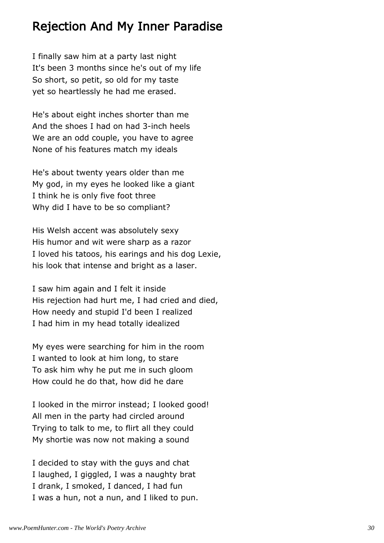#### Rejection And My Inner Paradise

I finally saw him at a party last night It's been 3 months since he's out of my life So short, so petit, so old for my taste yet so heartlessly he had me erased.

He's about eight inches shorter than me And the shoes I had on had 3-inch heels We are an odd couple, you have to agree None of his features match my ideals

He's about twenty years older than me My god, in my eyes he looked like a giant I think he is only five foot three Why did I have to be so compliant?

His Welsh accent was absolutely sexy His humor and wit were sharp as a razor I loved his tatoos, his earings and his dog Lexie, his look that intense and bright as a laser.

I saw him again and I felt it inside His rejection had hurt me, I had cried and died, How needy and stupid I'd been I realized I had him in my head totally idealized

My eyes were searching for him in the room I wanted to look at him long, to stare To ask him why he put me in such gloom How could he do that, how did he dare

I looked in the mirror instead; I looked good! All men in the party had circled around Trying to talk to me, to flirt all they could My shortie was now not making a sound

I decided to stay with the guys and chat I laughed, I giggled, I was a naughty brat I drank, I smoked, I danced, I had fun I was a hun, not a nun, and I liked to pun.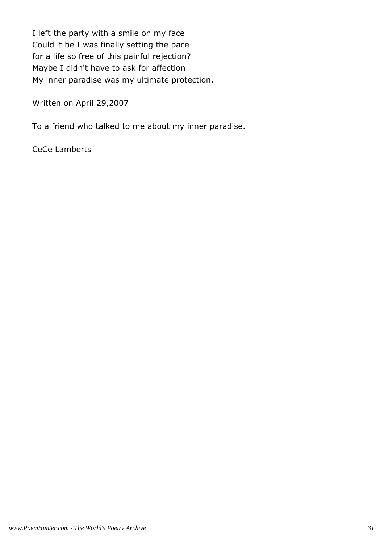I left the party with a smile on my face Could it be I was finally setting the pace for a life so free of this painful rejection? Maybe I didn't have to ask for affection My inner paradise was my ultimate protection.

Written on April 29,2007

To a friend who talked to me about my inner paradise.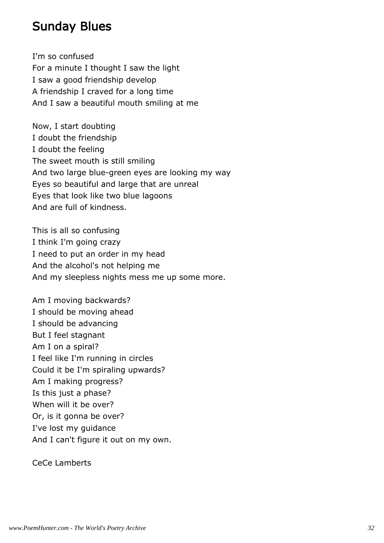#### Sunday Blues

I'm so confused For a minute I thought I saw the light I saw a good friendship develop A friendship I craved for a long time And I saw a beautiful mouth smiling at me

Now, I start doubting I doubt the friendship I doubt the feeling The sweet mouth is still smiling And two large blue-green eyes are looking my way Eyes so beautiful and large that are unreal Eyes that look like two blue lagoons And are full of kindness.

This is all so confusing I think I'm going crazy I need to put an order in my head And the alcohol's not helping me And my sleepless nights mess me up some more.

Am I moving backwards? I should be moving ahead I should be advancing But I feel stagnant Am I on a spiral? I feel like I'm running in circles Could it be I'm spiraling upwards? Am I making progress? Is this just a phase? When will it be over? Or, is it gonna be over? I've lost my guidance And I can't figure it out on my own.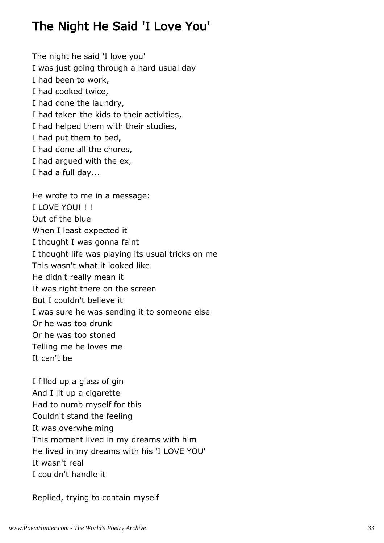# The Night He Said 'I Love You'

The night he said 'I love you' I was just going through a hard usual day I had been to work, I had cooked twice, I had done the laundry, I had taken the kids to their activities, I had helped them with their studies, I had put them to bed, I had done all the chores, I had argued with the ex, I had a full day...

He wrote to me in a message: I LOVE YOU! ! ! Out of the blue When I least expected it I thought I was gonna faint I thought life was playing its usual tricks on me This wasn't what it looked like He didn't really mean it It was right there on the screen But I couldn't believe it I was sure he was sending it to someone else Or he was too drunk Or he was too stoned Telling me he loves me It can't be

I filled up a glass of gin And I lit up a cigarette Had to numb myself for this Couldn't stand the feeling It was overwhelming This moment lived in my dreams with him He lived in my dreams with his 'I LOVE YOU' It wasn't real I couldn't handle it

Replied, trying to contain myself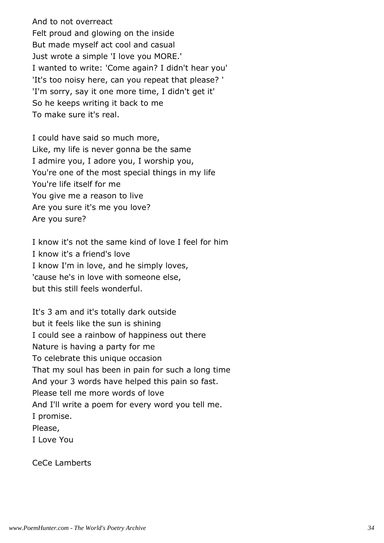And to not overreact Felt proud and glowing on the inside But made myself act cool and casual Just wrote a simple 'I love you MORE.' I wanted to write: 'Come again? I didn't hear you' 'It's too noisy here, can you repeat that please? ' 'I'm sorry, say it one more time, I didn't get it' So he keeps writing it back to me To make sure it's real.

I could have said so much more, Like, my life is never gonna be the same I admire you, I adore you, I worship you, You're one of the most special things in my life You're life itself for me You give me a reason to live Are you sure it's me you love? Are you sure?

I know it's not the same kind of love I feel for him I know it's a friend's love I know I'm in love, and he simply loves, 'cause he's in love with someone else, but this still feels wonderful.

It's 3 am and it's totally dark outside but it feels like the sun is shining I could see a rainbow of happiness out there Nature is having a party for me To celebrate this unique occasion That my soul has been in pain for such a long time And your 3 words have helped this pain so fast. Please tell me more words of love And I'll write a poem for every word you tell me. I promise. Please, I Love You